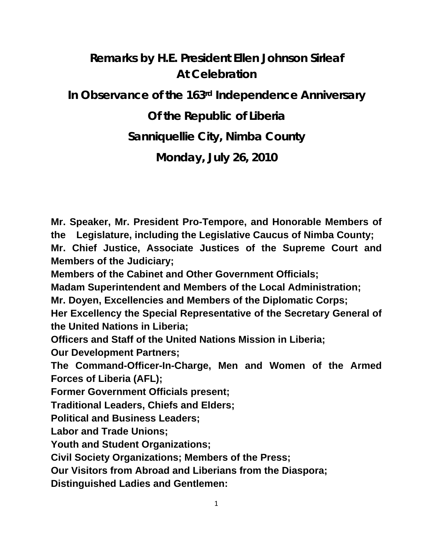# **Remarks by H.E. President Ellen Johnson Sirleaf At Celebration In Observance of the 163rd Independence Anniversary Of the Republic of Liberia Sanniquellie City, Nimba County**

**Monday, July 26, 2010** 

**Mr. Speaker, Mr. President Pro-Tempore, and Honorable Members of the Legislature, including the Legislative Caucus of Nimba County;** 

**Mr. Chief Justice, Associate Justices of the Supreme Court and Members of the Judiciary;** 

**Members of the Cabinet and Other Government Officials;** 

**Madam Superintendent and Members of the Local Administration;** 

**Mr. Doyen, Excellencies and Members of the Diplomatic Corps;** 

**Her Excellency the Special Representative of the Secretary General of the United Nations in Liberia;**

**Officers and Staff of the United Nations Mission in Liberia;** 

**Our Development Partners;**

**The Command-Officer-In-Charge, Men and Women of the Armed Forces of Liberia (AFL);** 

**Former Government Officials present;** 

**Traditional Leaders, Chiefs and Elders;** 

**Political and Business Leaders;** 

**Labor and Trade Unions;** 

**Youth and Student Organizations;** 

**Civil Society Organizations; Members of the Press;** 

**Our Visitors from Abroad and Liberians from the Diaspora;**

**Distinguished Ladies and Gentlemen:**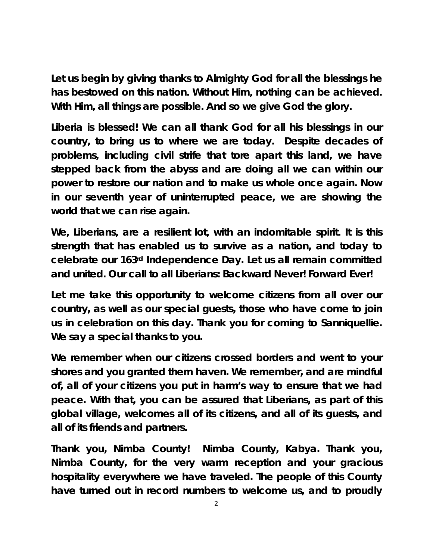**Let us begin by giving thanks to Almighty God for all the blessings he has bestowed on this nation. Without Him, nothing can be achieved. With Him, all things are possible. And so we give God the glory.** 

**Liberia is blessed! We can all thank God for all his blessings in our country, to bring us to where we are today. Despite decades of problems, including civil strife that tore apart this land, we have stepped back from the abyss and are doing all we can within our power to restore our nation and to make us whole once again. Now in our seventh year of uninterrupted peace, we are showing the world that we can rise again.** 

**We, Liberians, are a resilient lot, with an indomitable spirit. It is this strength that has enabled us to survive as a nation, and today to celebrate our 163rd Independence Day. Let us all remain committed and united. Our call to all Liberians: Backward Never! Forward Ever!** 

**Let me take this opportunity to welcome citizens from all over our country, as well as our special guests, those who have come to join us in celebration on this day. Thank you for coming to Sanniquellie. We say a special thanks to you.** 

**We remember when our citizens crossed borders and went to your shores and you granted them haven. We remember, and are mindful of, all of your citizens you put in harm's way to ensure that we had peace. With that, you can be assured that Liberians, as part of this global village, welcomes all of its citizens, and all of its guests, and all of its friends and partners.** 

**Thank you, Nimba County! Nimba County,** *Kabya.* **Thank you, Nimba County, for the very warm reception and your gracious hospitality everywhere we have traveled. The people of this County have turned out in record numbers to welcome us, and to proudly**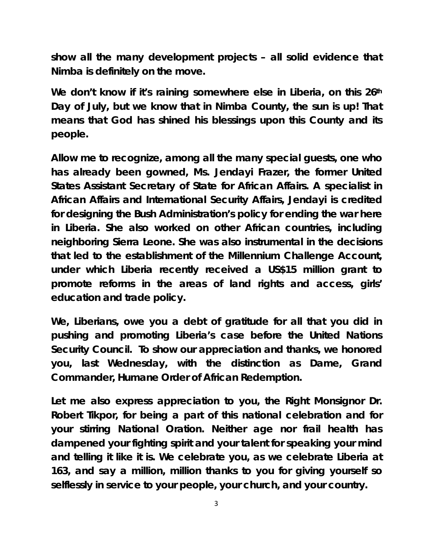**show all the many development projects – all solid evidence that Nimba is definitely on the move.** 

**We don't know if it's raining somewhere else in Liberia, on this 26th Day of July, but we know that in Nimba County, the sun is up! That means that God has shined his blessings upon this County and its people.** 

**Allow me to recognize, among all the many special guests, one who has already been gowned, Ms. Jendayi Frazer, the former United States Assistant Secretary of State for African Affairs. A specialist in African Affairs and International Security Affairs, Jendayi is credited for designing the Bush Administration's policy for ending the war here in Liberia. She also worked on other African countries, including neighboring Sierra Leone. She was also instrumental in the decisions that led to the establishment of the Millennium Challenge Account, under which Liberia recently received a US\$15 million grant to promote reforms in the areas of land rights and access, girls' education and trade policy.** 

**We, Liberians, owe you a debt of gratitude for all that you did in pushing and promoting Liberia's case before the United Nations Security Council. To show our appreciation and thanks, we honored you, last Wednesday, with the distinction as Dame, Grand Commander, Humane Order of African Redemption.** 

**Let me also express appreciation to you, the Right Monsignor Dr. Robert Tikpor, for being a part of this national celebration and for your stirring National Oration. Neither age nor frail health has dampened your fighting spirit and your talent for speaking your mind and telling it like it is. We celebrate you, as we celebrate Liberia at 163, and say a million, million thanks to you for giving yourself so selflessly in service to your people, your church, and your country.**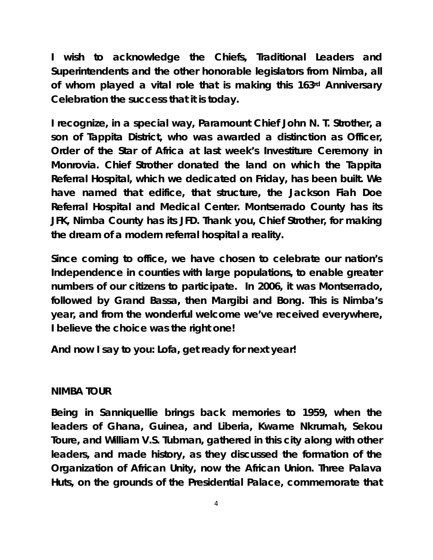**I wish to acknowledge the Chiefs, Traditional Leaders and Superintendents and the other honorable legislators from Nimba, all of whom played a vital role that is making this 163rd Anniversary Celebration the success that it is today.** 

**I recognize, in a special way, Paramount Chief John N. T. Strother, a son of Tappita District, who was awarded a distinction as Officer, Order of the Star of Africa at last week's Investiture Ceremony in Monrovia. Chief Strother donated the land on which the Tappita Referral Hospital, which we dedicated on Friday, has been built. We have named that edifice, that structure, the Jackson Fiah Doe Referral Hospital and Medical Center. Montserrado County has its JFK, Nimba County has its JFD. Thank you, Chief Strother, for making the dream of a modern referral hospital a reality.** 

**Since coming to office, we have chosen to celebrate our nation's Independence in counties with large populations, to enable greater numbers of our citizens to participate. In 2006, it was Montserrado, followed by Grand Bassa, then Margibi and Bong. This is Nimba's year, and from the wonderful welcome we've received everywhere, I believe the choice was the right one!** 

**And now I say to you: Lofa, get ready for next year!** 

# **NIMBA TOUR**

**Being in Sanniquellie brings back memories to 1959, when the leaders of Ghana, Guinea, and Liberia, Kwame Nkrumah, Sekou Toure, and William V.S. Tubman, gathered in this city along with other leaders, and made history, as they discussed the formation of the Organization of African Unity, now the African Union. Three Palava Huts, on the grounds of the Presidential Palace, commemorate that**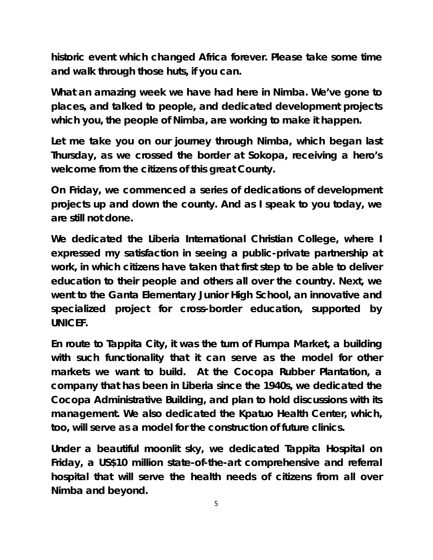**historic event which changed Africa forever. Please take some time and walk through those huts, if you can.** 

**What an amazing week we have had here in Nimba. We've gone to places, and talked to people, and dedicated development projects which you, the people of Nimba, are working to make it happen.** 

**Let me take you on our journey through Nimba, which began last Thursday, as we crossed the border at Sokopa, receiving a hero's welcome from the citizens of this great County.** 

**On Friday, we commenced a series of dedications of development projects up and down the county. And as I speak to you today, we are still not done.** 

**We dedicated the Liberia International Christian College, where I expressed my satisfaction in seeing a public-private partnership at work, in which citizens have taken that first step to be able to deliver education to their people and others all over the country. Next, we went to the Ganta Elementary Junior High School, an innovative and specialized project for cross-border education, supported by UNICEF.** 

**En route to Tappita City, it was the turn of Flumpa Market, a building with such functionality that it can serve as the model for other markets we want to build. At the Cocopa Rubber Plantation, a company that has been in Liberia since the 1940s, we dedicated the Cocopa Administrative Building, and plan to hold discussions with its management. We also dedicated the Kpatuo Health Center, which, too, will serve as a model for the construction of future clinics.** 

**Under a beautiful moonlit sky, we dedicated Tappita Hospital on Friday, a US\$10 million state-of-the-art comprehensive and referral hospital that will serve the health needs of citizens from all over Nimba and beyond.**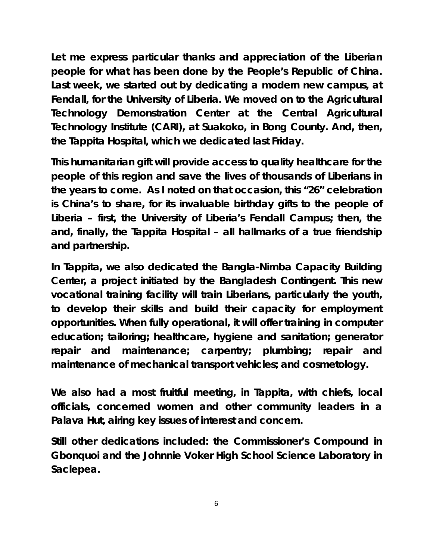**Let me express particular thanks and appreciation of the Liberian people for what has been done by the People's Republic of China. Last week, we started out by dedicating a modern new campus, at Fendall, for the University of Liberia. We moved on to the Agricultural Technology Demonstration Center at the Central Agricultural Technology Institute (CARI), at Suakoko, in Bong County. And, then, the Tappita Hospital, which we dedicated last Friday.** 

**This humanitarian gift will provide access to quality healthcare for the people of this region and save the lives of thousands of Liberians in the years to come. As I noted on that occasion, this "26" celebration is China's to share, for its invaluable birthday gifts to the people of Liberia – first, the University of Liberia's Fendall Campus; then, the and, finally, the Tappita Hospital – all hallmarks of a true friendship and partnership.** 

**In Tappita, we also dedicated the Bangla-Nimba Capacity Building Center, a project initiated by the Bangladesh Contingent. This new vocational training facility will train Liberians, particularly the youth, to develop their skills and build their capacity for employment opportunities. When fully operational, it will offer training in computer education; tailoring; healthcare, hygiene and sanitation; generator repair and maintenance; carpentry; plumbing; repair and maintenance of mechanical transport vehicles; and cosmetology.** 

**We also had a most fruitful meeting, in Tappita, with chiefs, local officials, concerned women and other community leaders in a Palava Hut, airing key issues of interest and concern.** 

**Still other dedications included: the Commissioner's Compound in Gbonquoi and the Johnnie Voker High School Science Laboratory in Saclepea.** 

6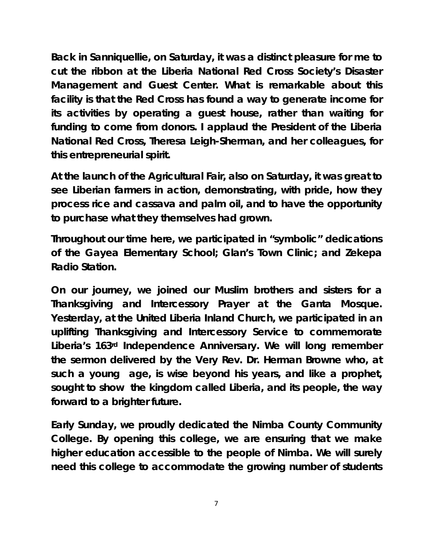**Back in Sanniquellie, on Saturday, it was a distinct pleasure for me to cut the ribbon at the Liberia National Red Cross Society's Disaster Management and Guest Center. What is remarkable about this facility is that the Red Cross has found a way to generate income for its activities by operating a guest house, rather than waiting for funding to come from donors. I applaud the President of the Liberia National Red Cross, Theresa Leigh-Sherman, and her colleagues, for this entrepreneurial spirit.** 

**At the launch of the Agricultural Fair, also on Saturday, it was great to see Liberian farmers in action, demonstrating, with pride, how they process rice and cassava and palm oil, and to have the opportunity to purchase what they themselves had grown.** 

**Throughout our time here, we participated in "symbolic" dedications of the Gayea Elementary School; Glan's Town Clinic; and Zekepa Radio Station.** 

**On our journey, we joined our Muslim brothers and sisters for a Thanksgiving and Intercessory Prayer at the Ganta Mosque. Yesterday, at the United Liberia Inland Church, we participated in an uplifting Thanksgiving and Intercessory Service to commemorate Liberia's 163rd Independence Anniversary. We will long remember the sermon delivered by the Very Rev. Dr. Herman Browne who, at such a young age, is wise beyond his years, and like a prophet, sought to show the kingdom called Liberia, and its people, the way forward to a brighter future.** 

**Early Sunday, we proudly dedicated the Nimba County Community College. By opening this college, we are ensuring that we make higher education accessible to the people of Nimba. We will surely need this college to accommodate the growing number of students** 

7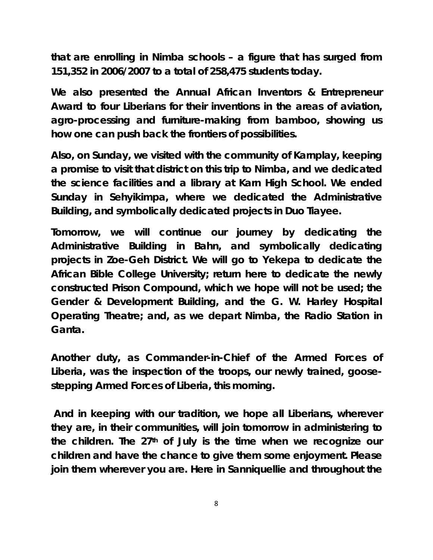**that are enrolling in Nimba schools – a figure that has surged from 151,352 in 2006/2007 to a total of 258,475 students today.** 

**We also presented the Annual African Inventors & Entrepreneur Award to four Liberians for their inventions in the areas of aviation, agro-processing and furniture-making from bamboo, showing us how one can push back the frontiers of possibilities.** 

**Also, on Sunday, we visited with the community of Karnplay, keeping a promise to visit that district on this trip to Nimba, and we dedicated the science facilities and a library at Karn High School. We ended Sunday in Sehyikimpa, where we dedicated the Administrative Building, and symbolically dedicated projects in Duo Tiayee.** 

**Tomorrow, we will continue our journey by dedicating the Administrative Building in Bahn, and symbolically dedicating projects in Zoe-Geh District. We will go to Yekepa to dedicate the African Bible College University; return here to dedicate the newly constructed Prison Compound, which we hope will not be used; the Gender & Development Building, and the G. W. Harley Hospital Operating Theatre; and, as we depart Nimba, the Radio Station in Ganta.** 

**Another duty, as Commander-in-Chief of the Armed Forces of Liberia, was the inspection of the troops, our newly trained, goosestepping Armed Forces of Liberia, this morning.** 

 **And in keeping with our tradition, we hope all Liberians, wherever they are, in their communities, will join tomorrow in administering to the children. The 27th of July is the time when we recognize our children and have the chance to give them some enjoyment. Please join them wherever you are. Here in Sanniquellie and throughout the**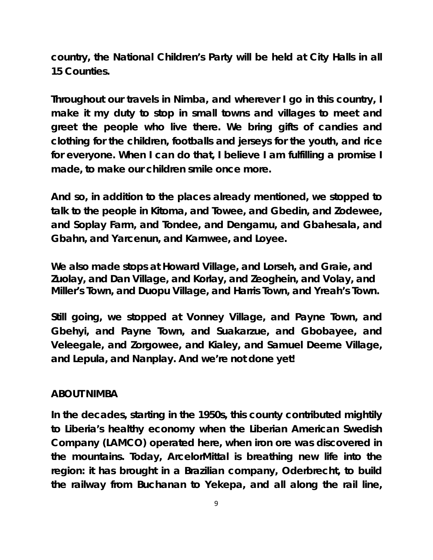**country, the National Children's Party will be held at City Halls in all 15 Counties.** 

**Throughout our travels in Nimba, and wherever I go in this country, I make it my duty to stop in small towns and villages to meet and greet the people who live there. We bring gifts of candies and clothing for the children, footballs and jerseys for the youth, and rice for everyone. When I can do that, I believe I am fulfilling a promise I made, to make our children smile once more.** 

**And so, in addition to the places already mentioned, we stopped to talk to the people in Kitoma, and Towee, and Gbedin, and Zodewee, and Soplay Farm, and Tondee, and Dengamu, and Gbahesala, and Gbahn, and Yarcenun, and Karnwee, and Loyee.** 

**We also made stops at Howard Village, and Lorseh, and Graie, and Zuolay, and Dan Village, and Korlay, and Zeoghein, and Volay, and Miller's Town, and Duopu Village, and Harris Town, and Yreah's Town.** 

**Still going, we stopped at Vonney Village, and Payne Town, and Gbehyi, and Payne Town, and Suakarzue, and Gbobayee, and Veleegale, and Zorgowee, and Kialey, and Samuel Deeme Village, and Lepula, and Nanplay. And we're not done yet!** 

# **ABOUT NIMBA**

**In the decades, starting in the 1950s, this county contributed mightily to Liberia's healthy economy when the Liberian American Swedish Company (LAMCO) operated here, when iron ore was discovered in the mountains. Today, ArcelorMittal is breathing new life into the region: it has brought in a Brazilian company, Oderbrecht, to build the railway from Buchanan to Yekepa, and all along the rail line,**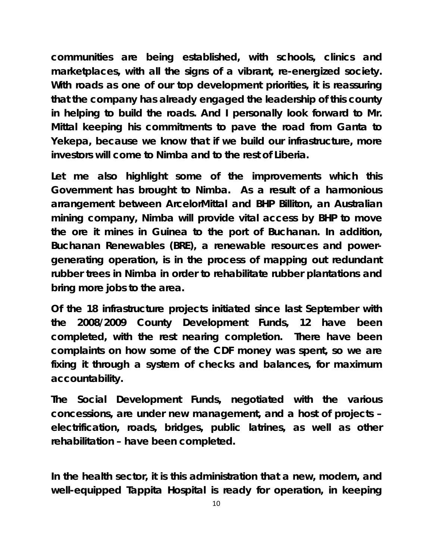**communities are being established, with schools, clinics and marketplaces, with all the signs of a vibrant, re-energized society. With roads as one of our top development priorities, it is reassuring that the company has already engaged the leadership of this county in helping to build the roads. And I personally look forward to Mr. Mittal keeping his commitments to pave the road from Ganta to Yekepa, because we know that if we build our infrastructure, more investors will come to Nimba and to the rest of Liberia.** 

**Let me also highlight some of the improvements which this Government has brought to Nimba. As a result of a harmonious arrangement between ArcelorMittal and BHP Billiton, an Australian mining company, Nimba will provide vital access by BHP to move the ore it mines in Guinea to the port of Buchanan. In addition, Buchanan Renewables (BRE), a renewable resources and powergenerating operation, is in the process of mapping out redundant rubber trees in Nimba in order to rehabilitate rubber plantations and bring more jobs to the area.** 

**Of the 18 infrastructure projects initiated since last September with the 2008/2009 County Development Funds, 12 have been completed, with the rest nearing completion. There have been complaints on how some of the CDF money was spent, so we are fixing it through a system of checks and balances, for maximum accountability.** 

**The Social Development Funds, negotiated with the various concessions, are under new management, and a host of projects – electrification, roads, bridges, public latrines, as well as other rehabilitation – have been completed.** 

**In the health sector, it is this administration that a new, modern, and well-equipped Tappita Hospital is ready for operation, in keeping**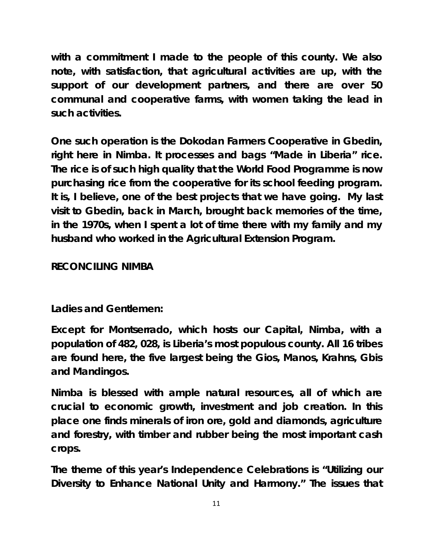**with a commitment I made to the people of this county. We also note, with satisfaction, that agricultural activities are up, with the support of our development partners, and there are over 50 communal and cooperative farms, with women taking the lead in such activities.** 

**One such operation is the Dokodan Farmers Cooperative in Gbedin, right here in Nimba. It processes and bags "Made in Liberia" rice. The rice is of such high quality that the World Food Programme is now purchasing rice from the cooperative for its school feeding program. It is, I believe, one of the best projects that we have going. My last visit to Gbedin, back in March, brought back memories of the time, in the 1970s, when I spent a lot of time there with my family and my husband who worked in the Agricultural Extension Program.** 

# **RECONCILING NIMBA**

# **Ladies and Gentlemen:**

**Except for Montserrado, which hosts our Capital, Nimba, with a population of 482, 028, is Liberia's most populous county. All 16 tribes are found here, the five largest being the Gios, Manos, Krahns, Gbis and Mandingos.** 

**Nimba is blessed with ample natural resources, all of which are crucial to economic growth, investment and job creation. In this place one finds minerals of iron ore, gold and diamonds, agriculture and forestry, with timber and rubber being the most important cash crops.** 

**The theme of this year's Independence Celebrations is "Utilizing our Diversity to Enhance National Unity and Harmony." The issues that**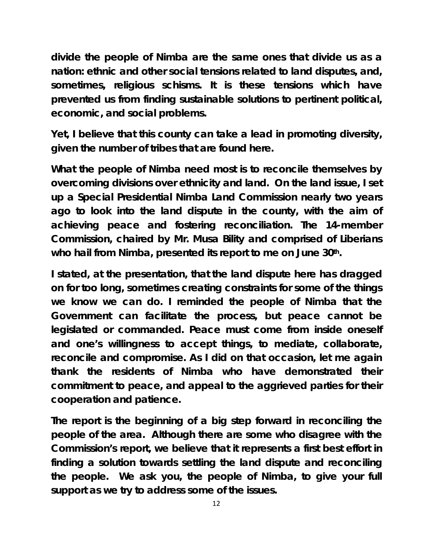**divide the people of Nimba are the same ones that divide us as a nation: ethnic and other social tensions related to land disputes, and, sometimes, religious schisms. It is these tensions which have prevented us from finding sustainable solutions to pertinent political, economic, and social problems.** 

**Yet, I believe that this county can take a lead in promoting diversity, given the number of tribes that are found here.** 

**What the people of Nimba need most is to reconcile themselves by overcoming divisions over ethnicity and land. On the land issue, I set up a Special Presidential Nimba Land Commission nearly two years ago to look into the land dispute in the county, with the aim of achieving peace and fostering reconciliation. The 14-member Commission, chaired by Mr. Musa Bility and comprised of Liberians**  who hail from Nimba, presented its report to me on June 30<sup>th</sup>.

**I stated, at the presentation, that the land dispute here has dragged on for too long, sometimes creating constraints for some of the things we know we can do. I reminded the people of Nimba that the Government can facilitate the process, but peace cannot be legislated or commanded. Peace must come from inside oneself and one's willingness to accept things, to mediate, collaborate, reconcile and compromise. As I did on that occasion, let me again thank the residents of Nimba who have demonstrated their commitment to peace, and appeal to the aggrieved parties for their cooperation and patience.** 

**The report is the beginning of a big step forward in reconciling the people of the area. Although there are some who disagree with the Commission's report, we believe that it represents a first best effort in finding a solution towards settling the land dispute and reconciling the people. We ask you, the people of Nimba, to give your full support as we try to address some of the issues.**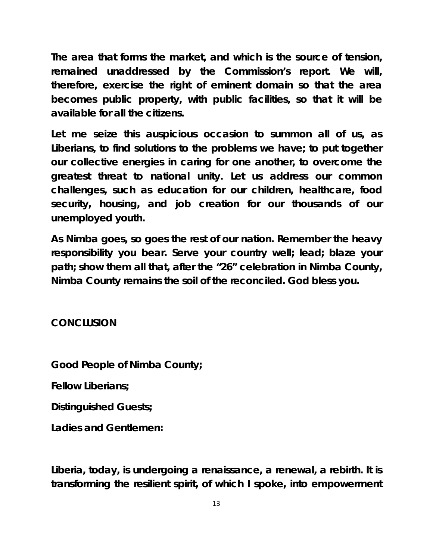**The area that forms the market, and which is the source of tension, remained unaddressed by the Commission's report***.* **We will, therefore, exercise the right of eminent domain so that the area becomes public property, with public facilities, so that it will be available for all the citizens.** 

**Let me seize this auspicious occasion to summon all of us, as Liberians, to find solutions to the problems we have; to put together our collective energies in caring for one another, to overcome the greatest threat to national unity. Let us address our common challenges, such as education for our children, healthcare, food security, housing, and job creation for our thousands of our unemployed youth.** 

**As Nimba goes, so goes the rest of our nation. Remember the heavy responsibility you bear. Serve your country well; lead; blaze your path; show them all that, after the "26" celebration in Nimba County, Nimba County remains the soil of the reconciled. God bless you.** 

**CONCLUSION** 

**Good People of Nimba County;** 

**Fellow Liberians;** 

**Distinguished Guests;** 

**Ladies and Gentlemen:** 

**Liberia, today, is undergoing a renaissance, a renewal, a rebirth. It is transforming the resilient spirit, of which I spoke, into empowerment**